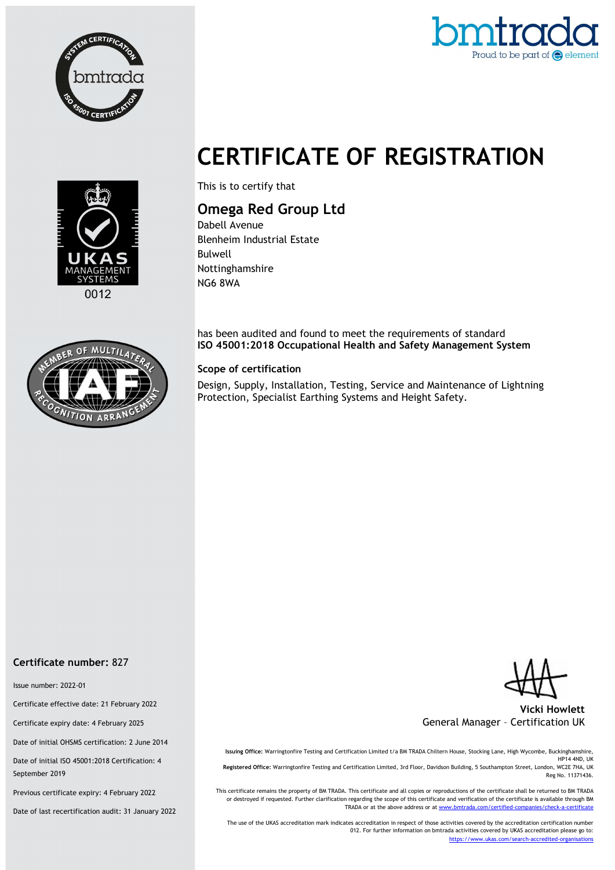



# CERTIFICATE OF REGISTRATION



This is to certify that

## Omega Red Group Ltd

Dabell Avenue Blenheim Industrial Estate Bulwell Nottinghamshire NG6 8WA

has been audited and found to meet the requirements of standard ISO 45001:2018 Occupational Health and Safety Management System

#### Scope of certification

Design, Supply, Installation, Testing, Service and Maintenance of Lightning Protection, Specialist Earthing Systems and Height Safety.



TION ARE



Vicki Howlett General Manager – Certification UK

Issuing Office: Warringtonfire Testing and Certification Limited t/a BM TRADA Chiltern House, Stocking Lane, High Wycombe, Buckinghamshire, HP14 4ND, UK Registered Office: Warringtonfire Testing and Certification Limited, 3rd Floor, Davidson Building, 5 Southampton Street, London, WC2E 7HA, UK Reg No. 11371436.

This certificate remains the property of BM TRADA. This certificate and all copies or reproductions of the certificate shall be returned to BM TRADA or destroyed if requested. Further clarification regarding the scope of this certificate and verification of the certificate is available through BM TRADA or at the above address or at www.bmtrada.com/certified-companies/check-a-certificate

The use of the UKAS accreditation mark indicates accreditation in respect of those activities covered by the accreditation certification number 012. For further information on bmtrada activities covered by UKAS accreditation please go to: https://www.ukas.com/search-accredited-organisations

#### Certificate number: 827

Issue number: 2022-01

Certificate effective date: 21 February 2022

Certificate expiry date: 4 February 2025

Date of initial OHSMS certification: 2 June 2014

Date of initial ISO 45001:2018 Certification: 4 September 2019

Previous certificate expiry: 4 February 2022

Date of last recertification audit: 31 January 2022